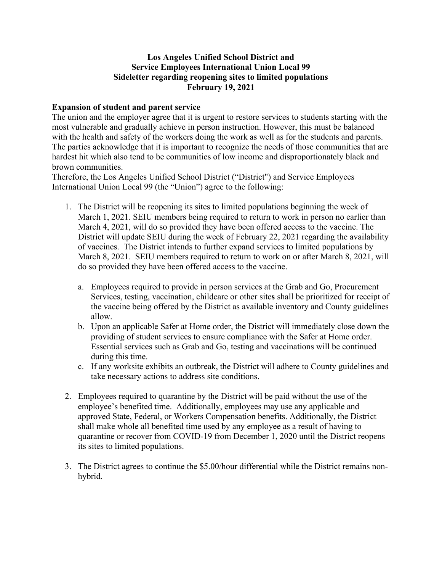## **Los Angeles Unified School District and Service Employees International Union Local 99 Sideletter regarding reopening sites to limited populations February 19, 2021**

## **Expansion of student and parent service**

The union and the employer agree that it is urgent to restore services to students starting with the most vulnerable and gradually achieve in person instruction. However, this must be balanced with the health and safety of the workers doing the work as well as for the students and parents. The parties acknowledge that it is important to recognize the needs of those communities that are hardest hit which also tend to be communities of low income and disproportionately black and brown communities.

Therefore, the Los Angeles Unified School District ("District") and Service Employees International Union Local 99 (the "Union") agree to the following:

- 1. The District will be reopening its sites to limited populations beginning the week of March 1, 2021. SEIU members being required to return to work in person no earlier than March 4, 2021, will do so provided they have been offered access to the vaccine. The District will update SEIU during the week of February 22, 2021 regarding the availability of vaccines. The District intends to further expand services to limited populations by March 8, 2021. SEIU members required to return to work on or after March 8, 2021, will do so provided they have been offered access to the vaccine.
	- a. Employees required to provide in person services at the Grab and Go, Procurement Services, testing, vaccination, childcare or other site**s** shall be prioritized for receipt of the vaccine being offered by the District as available inventory and County guidelines allow.
	- b. Upon an applicable Safer at Home order, the District will immediately close down the providing of student services to ensure compliance with the Safer at Home order. Essential services such as Grab and Go, testing and vaccinations will be continued during this time.
	- c. If any worksite exhibits an outbreak, the District will adhere to County guidelines and take necessary actions to address site conditions.
- 2. Employees required to quarantine by the District will be paid without the use of the employee's benefited time. Additionally, employees may use any applicable and approved State, Federal, or Workers Compensation benefits. Additionally, the District shall make whole all benefited time used by any employee as a result of having to quarantine or recover from COVID-19 from December 1, 2020 until the District reopens its sites to limited populations.
- 3. The District agrees to continue the \$5.00/hour differential while the District remains nonhybrid.